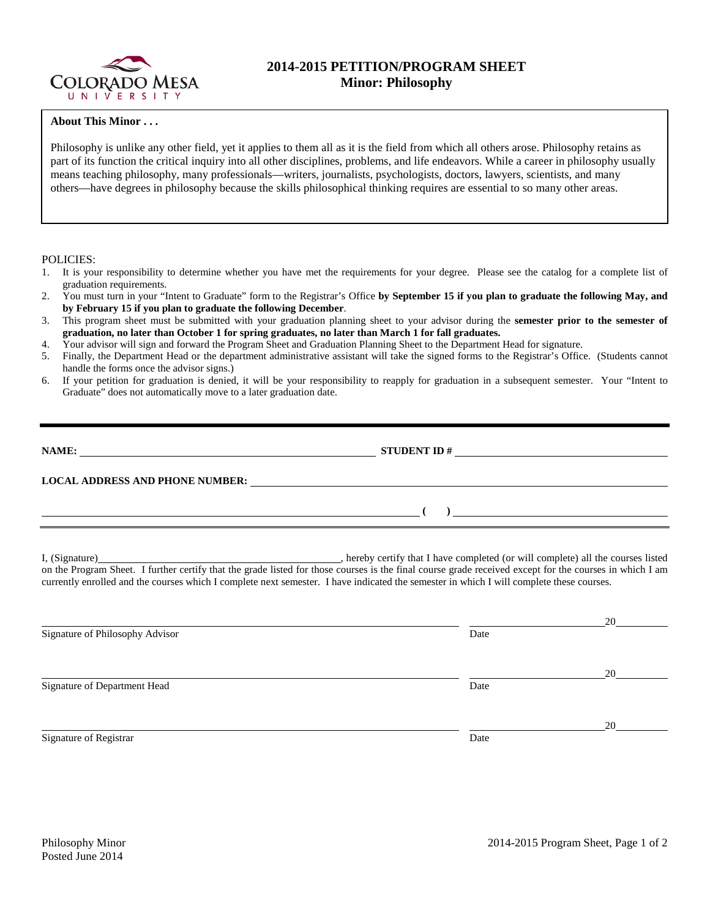

## **2014-2015 PETITION/PROGRAM SHEET Minor: Philosophy**

## **About This Minor . . .**

Philosophy is unlike any other field, yet it applies to them all as it is the field from which all others arose. Philosophy retains as part of its function the critical inquiry into all other disciplines, problems, and life endeavors. While a career in philosophy usually means teaching philosophy, many professionals—writers, journalists, psychologists, doctors, lawyers, scientists, and many others—have degrees in philosophy because the skills philosophical thinking requires are essential to so many other areas.

## POLICIES:

- 1. It is your responsibility to determine whether you have met the requirements for your degree. Please see the catalog for a complete list of graduation requirements.
- 2. You must turn in your "Intent to Graduate" form to the Registrar's Office **by September 15 if you plan to graduate the following May, and by February 15 if you plan to graduate the following December**.
- 3. This program sheet must be submitted with your graduation planning sheet to your advisor during the **semester prior to the semester of graduation, no later than October 1 for spring graduates, no later than March 1 for fall graduates.**
- 4. Your advisor will sign and forward the Program Sheet and Graduation Planning Sheet to the Department Head for signature.
- 5. Finally, the Department Head or the department administrative assistant will take the signed forms to the Registrar's Office. (Students cannot handle the forms once the advisor signs.)
- 6. If your petition for graduation is denied, it will be your responsibility to reapply for graduation in a subsequent semester. Your "Intent to Graduate" does not automatically move to a later graduation date.

| NAME:                                  | <b>STUDENT ID#</b> |  |  |
|----------------------------------------|--------------------|--|--|
| <b>LOCAL ADDRESS AND PHONE NUMBER:</b> |                    |  |  |
|                                        |                    |  |  |

I, (Signature) **Solution** , hereby certify that I have completed (or will complete) all the courses listed on the Program Sheet. I further certify that the grade listed for those courses is the final course grade received except for the courses in which I am currently enrolled and the courses which I complete next semester. I have indicated the semester in which I will complete these courses.

|                                 |      | 20 |
|---------------------------------|------|----|
| Signature of Philosophy Advisor | Date |    |
|                                 |      |    |
|                                 |      | 20 |
| Signature of Department Head    | Date |    |
|                                 |      |    |
|                                 |      | 20 |
| Signature of Registrar          | Date |    |
|                                 |      |    |